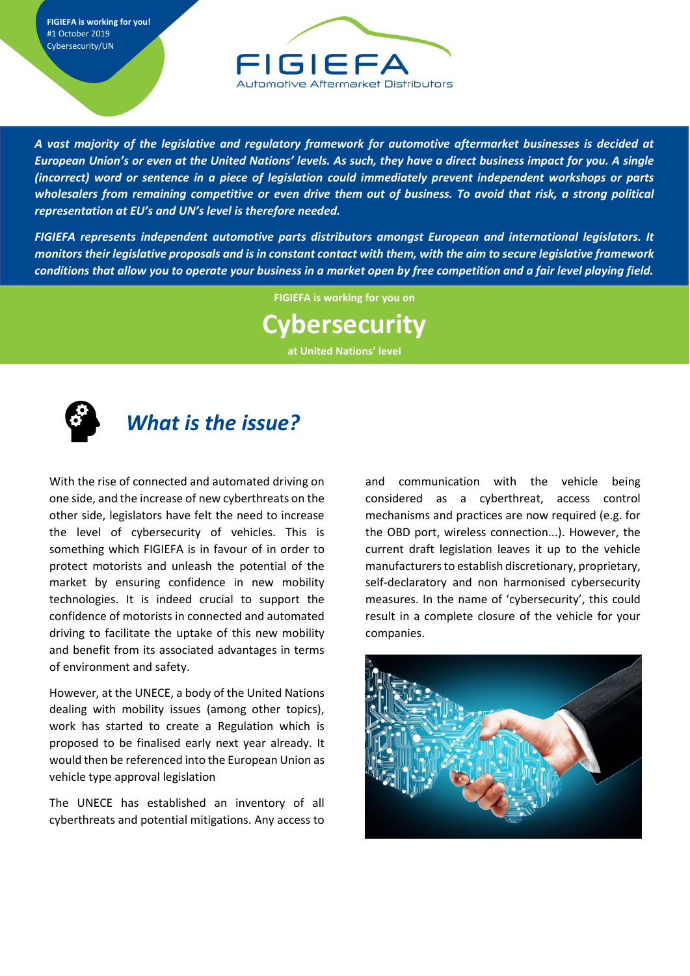**FIGIEFA is working for you!** #1 October 2019 Cybersecurity/UN



*A vast majority of the legislative and regulatory framework for automotive aftermarket businesses is decided at European Union's or even at the United Nations' levels. As such, they have a direct business impact for you. A single (incorrect) word or sentence in a piece of legislation could immediately prevent independent workshops or parts wholesalers from remaining competitive or even drive them out of business. To avoid that risk, a strong political representation at EU's and UN's level is therefore needed.* 

*FIGIEFA represents independent automotive parts distributors amongst European and international legislators. It monitors their legislative proposals and is in constant contact with them, with the aim to secure legislative framework conditions that allow you to operate your business in a market open by free competition and a fair level playing field.* 

**FIGIEFA is working for you on**

## **Cybersecurity**

**at United Nations' level**



## *What is the issue?*

With the rise of connected and automated driving on one side, and the increase of new cyberthreats on the other side, legislators have felt the need to increase the level of cybersecurity of vehicles. This is something which FIGIEFA is in favour of in order to protect motorists and unleash the potential of the market by ensuring confidence in new mobility technologies. It is indeed crucial to support the confidence of motorists in connected and automated driving to facilitate the uptake of this new mobility and benefit from its associated advantages in terms of environment and safety.

However, at the UNECE, a body of the United Nations dealing with mobility issues (among other topics), work has started to create a Regulation which is proposed to be finalised early next year already. It would then be referenced into the European Union as vehicle type approval legislation

The UNECE has established an inventory of all cyberthreats and potential mitigations. Any access to

and communication with the vehicle being considered as a cyberthreat, access control mechanisms and practices are now required (e.g. for the OBD port, wireless connection...). However, the current draft legislation leaves it up to the vehicle manufacturers to establish discretionary, proprietary, self-declaratory and non harmonised cybersecurity measures. In the name of 'cybersecurity', this could result in a complete closure of the vehicle for your companies.